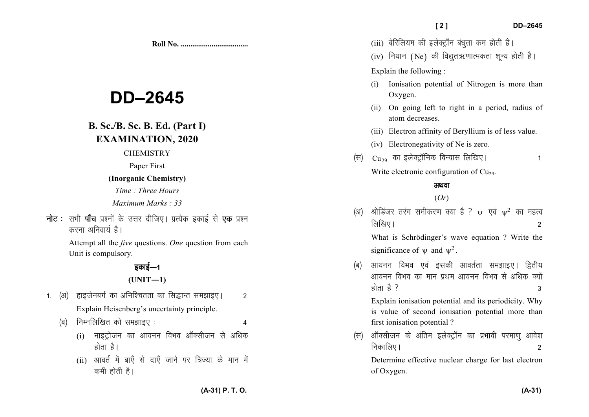**Roll No. ...................................** 

# **DD–2645**

# **B. Sc./B. Sc. B. Ed. (Part I) EXAMINATION, 2020**

#### **CHEMISTRY**

Paper First

### **(Inorganic Chemistry)**

*Time : Three Hours* 

*Maximum Marks : 33*

**नोट** : सभी **पाँच** प्रश्नों के उत्तर दीजिए। प्रत्येक इकाई से **एक** प्रश्न करना अनिवार्य है।

> Attempt all the *five* questions. *One* question from each Unit is compulsory.

# ਵਨਾਈ $\pm$ 1 **(UNIT—1)**

- 1. (अ) हाइजेनबर्ग का अनिश्चितता का सिद्धान्त समझाइए। 2 Explain Heisenberg's uncertainty principle.
	- ¼c½ fuEufyf[kr dks le>kb, % 4
		- $(i)$  नाइट्रोजन का आयनन विभव ऑक्सीजन से अधिक होता है।
		- (ii) आवर्त में बाएँ से दाएँ जाने पर त्रिज्या के मान में कमी होती है।
- (iii) बेरिलियम की इलेक्ट्रॉन बंधता कम होती है।
- (iv) नियान (Ne) की विद्युतऋणात्मकता शून्य होती है।

## Explain the following :

- Ionisation potential of Nitrogen is more than Oxygen.
- (ii) On going left to right in a period, radius of atom decreases.
- (iii) Electron affinity of Beryllium is of less value.
- (iv) Electronegativity of Ne is zero.
- $\langle \overline{\mathbf{H}} \rangle$  Cu<sub>29</sub> का इलेक्ट्रॉनिक विन्यास लिखिए।
	- Write electronic configuration of  $Cu<sub>29</sub>$ .

# अथवा

# (*Or*)

(अ) श्रोडिंजर तरंग समीकरण क्या है ?  $\psi$  एवं  $\psi^2$  का महत्व  $\lceil \frac{1}{2} \rceil$ लिखिए ।  $\lceil \frac{1}{2} \rceil$ 

What is Schrödinger's wave equation ? Write the significance of  $\psi$  and  $\psi^2$ .

(ब) आयनन विभव एवं इसकी आवर्तता समझाइए। द्वितीय आयनन विभव का मान प्रथम आयनन विभव से अधिक क्यों होता है ?  $\overline{3}$ 

Explain ionisation potential and its periodicity. Why is value of second ionisation potential more than first ionisation potential ?

(स) ऑक्सीजन के अंतिम इलेक्ट्रॉन का प्रभावी परमाण आवेश निकालिए ।  $\overline{a}$ 

Determine effective nuclear charge for last electron of Oxygen.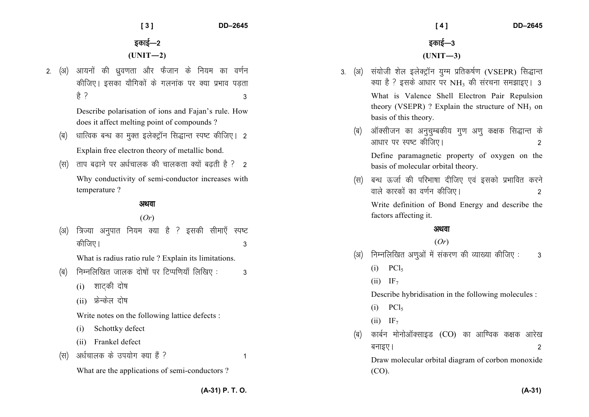**[ 3 ] DD–2645** 

2. (अ) आयनों की ध्रवणता और फैजान के नियम का वर्णन कीजिए। इसका यौगिकों के गलनांक पर क्या प्रभाव पडता है ? 3

> Describe polarisation of ions and Fajan's rule. Howdoes it affect melting point of compounds ?

- (ब) धात्विक बन्ध का मुक्त इलेक्ट्रॉन सिद्धान्त स्पष्ट कीजिए। 2 Explain free electron theory of metallic bond.
- $(\vec{r})$  ताप बढ़ाने पर अर्धचालक की चालकता क्यों बढ़ती है ? 2

Why conductivity of semi-conductor increases with temperature ?

# अथवा

# (*Or*)

(अ) त्रिज्या अनुपात नियम क्या है ? इसकी सीमाएँ स्पष्ट कीजिए ।  $\overline{a}$ 

What is radius ratio rule ? Explain its limitations.

- $\vert$ (ब) निम्नलिखित जालक दोषों पर टिप्पणियाँ लिखिए : 3
	- $(i)$  शाटकी दोष
	- $(i)$  फ्रेन्केल दोष

Write notes on the following lattice defects :

- (i) Schottky defect
- (ii) Frankel defect
- $(\text{H})$  अर्धचालक के उपयोग क्या हैं ?

What are the applications of semi-conductors ?

 **[ 4 ] DD–2645** 

- 3. (अ) संयोजी शेल इलेक्ट्रॉन युग्म प्रतिकर्षण (VSEPR) सिद्धान्त क्या है ? इसके आधार पर NH<sub>3</sub> की संरचना समझाइए। 3 What is Valence Shell Electron Pair Repulsion theory (VSEPR) ? Explain the structure of  $NH<sub>3</sub>$  on basis of this theory.
	- (ब) ऑक्सीजन का अनुचुम्बकीय गुण अणु कक्षक सिद्धान्त के vk/kkj ij Li"V dhft,A 2 Define paramagnetic property of oxygen on the basis of molecular orbital theory.
	- (स) बन्ध ऊर्जा की परिभाषा दीजिए एवं इसको प्रभावित करने okys dkjdksa dk o.kZu dhft,A 2 Write definition of Bond Energy and describe the factors affecting it.

# अथवा

# (*Or*)

- $(x)$  निम्नलिखित अणओं में संकरण की व्याख्या कीजिए : 3
	- $(i)$  PCl<sub>5</sub>
	- $(ii)$  IF<sub>7</sub>

Describe hybridisation in the following molecules :

- $(i)$  PCl<sub>5</sub>
- $(ii)$  IF<sub>7</sub>
- (ब) कार्बन मोनोऑक्साइड (CO) का आण्विक कक्षक आरेख cukb,A 2

Draw molecular orbital diagram of corbon monoxide (CO).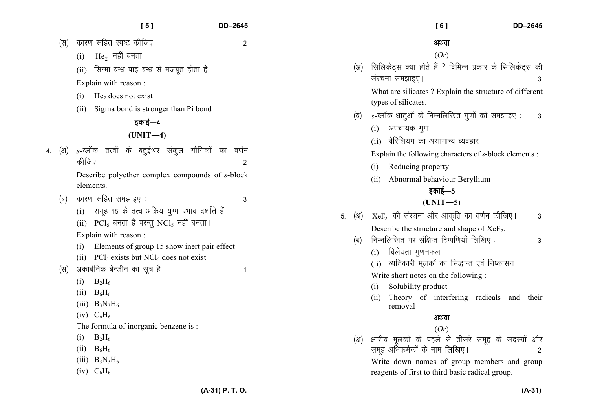|                         | [5]<br>DD-2645                                                                                                                                                                                                                                                                                                                                                                                                                                                                                                                                                                                                                                                                  | [6]<br><b>DD-2645</b>                                                                                                                                                                                                                                                                                                                                                                                                                                                                                                                                                                                                                                                                                                                                                                                                   |
|-------------------------|---------------------------------------------------------------------------------------------------------------------------------------------------------------------------------------------------------------------------------------------------------------------------------------------------------------------------------------------------------------------------------------------------------------------------------------------------------------------------------------------------------------------------------------------------------------------------------------------------------------------------------------------------------------------------------|-------------------------------------------------------------------------------------------------------------------------------------------------------------------------------------------------------------------------------------------------------------------------------------------------------------------------------------------------------------------------------------------------------------------------------------------------------------------------------------------------------------------------------------------------------------------------------------------------------------------------------------------------------------------------------------------------------------------------------------------------------------------------------------------------------------------------|
| (स)                     | कारण सहित स्पष्ट कीजिए :<br>$\overline{c}$<br>$\rm{He}_{2}$ नहीं बनता<br>(i)<br>(ii) सिग्मा बन्ध पाई बन्ध से मजबूत होता है<br>Explain with reason:<br>$He2$ does not exist<br>(i)<br>Sigma bond is stronger than Pi bond<br>(ii)<br>इकाई—4<br>$(UNIT-4)$                                                                                                                                                                                                                                                                                                                                                                                                                        | अथवा<br>(Or)<br>सिलिकेट्स क्या होते हैं ? विभिन्न प्रकार के सिलिकेट्स की<br>(3I)<br>संरचना समझाइए।<br>3<br>What are silicates ? Explain the structure of different<br>types of silicates.<br>s-ब्लॉक धातुओं के निम्नलिखित गुणों को समझाइए:<br>(ৰ)<br>3<br>अपचायक गुण<br>(i)                                                                                                                                                                                                                                                                                                                                                                                                                                                                                                                                             |
| (अ)<br>4.<br>(ৰ)<br>(स) | $s$ -ब्लॉक तत्वों के बहुईथर संकुल यौगिकों का वर्णन<br>कीजिए।<br>2<br>Describe polyether complex compounds of s-block<br>elements.<br>कारण सहित समझाइए :<br>3<br>(i) समूह 15 के तत्व अक्रिय युग्म प्रभाव दर्शाते हैं<br>(ii) $\text{PCl}_5$ बनता है परन्तु NCl <sub>5</sub> नहीं बनता।<br>Explain with reason:<br>Elements of group 15 show inert pair effect<br>(1)<br>(ii) $\text{PCl}_5$ exists but NCl <sub>5</sub> does not exist<br>अकार्बनिक बेन्जीन का सूत्र है :<br>1<br>$B_2H_6$<br>(i)<br>$B_6H_6$<br>(i)<br>(iii) $B_3N_3H_6$<br>$(iv)$ $C_6H_6$<br>The formula of inorganic benzene is:<br>$B_2H_6$<br>(1)<br>(ii) $B_6H_6$<br>(iii) $B_3N_3H_6$<br>$(iv)$ $C_6H_6$ | बेरिलियम का असामान्य व्यवहार<br>(ii)<br>Explain the following characters of s-block elements :<br>Reducing property<br>(i)<br>Abnormal behaviour Beryllium<br>(ii)<br>इकाई—5<br>$(UNIT-5)$<br>$XeF2$ की संरचना और आकृति का वर्णन कीजिए।<br>(अ)<br>5.<br>3<br>Describe the structure and shape of $XeF_2$ .<br>निम्नलिखित पर संक्षिप्त टिप्पणियाँ लिखिए:<br>(ब)<br>3<br>विलेयता गुणनफल<br>(i)<br>व्यतिकारी मूलकों का सिद्धान्त एवं निष्कासन<br>(ii)<br>Write short notes on the following:<br>Solubility product<br>(i)<br>Theory of interfering radicals and their<br>(11)<br>removal<br>अथवा<br>(Or)<br>क्षारीय मूलकों के पहले से तीसरे समूह के सदस्यों और<br>(अ)<br>समूह अभिकर्मकों के नाम लिखिए।<br>$\overline{2}$<br>Write down names of group members and group<br>reagents of first to third basic radical group. |